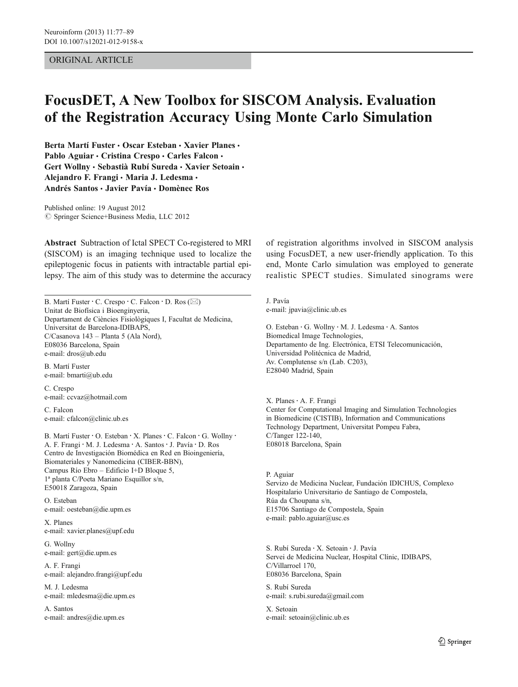## ORIGINAL ARTICLE

# FocusDET, A New Toolbox for SISCOM Analysis. Evaluation of the Registration Accuracy Using Monte Carlo Simulation

Berta Martí Fuster • Oscar Esteban • Xavier Planes • Pablo Aguiar · Cristina Crespo · Carles Falcon · Gert Wollny · Sebastià Rubí Sureda · Xavier Setoain · Alejandro F. Frangi · Maria J. Ledesma · Andrés Santos & Javier Pavía & Domènec Ros

Published online: 19 August 2012  $©$  Springer Science+Business Media, LLC 2012

Abstract Subtraction of Ictal SPECT Co-registered to MRI (SISCOM) is an imaging technique used to localize the epileptogenic focus in patients with intractable partial epilepsy. The aim of this study was to determine the accuracy

B. Martí Fuster  $\cdot$  C. Crespo  $\cdot$  C. Falcon  $\cdot$  D. Ros ( $\boxtimes$ ) Unitat de Biofísica i Bioenginyeria, Departament de Ciències Fisiològiques I, Facultat de Medicina, Universitat de Barcelona-IDIBAPS, C/Casanova 143 – Planta 5 (Ala Nord), E08036 Barcelona, Spain e-mail: dros@ub.edu

B. Martí Fuster e-mail: bmarti@ub.edu

C. Crespo e-mail: ccvaz@hotmail.com

C. Falcon e-mail: cfalcon@clinic.ub.es

B. Martí Fuster · O. Esteban · X. Planes · C. Falcon · G. Wollny · A. F. Frangi : M. J. Ledesma : A. Santos: J. Pavía : D. Ros Centro de Investigación Biomédica en Red en Bioingeniería, Biomateriales y Nanomedicina (CIBER-BBN), Campus Río Ebro – Edificio I+D Bloque 5, 1ª planta C/Poeta Mariano Esquillor s/n, E50018 Zaragoza, Spain

O. Esteban e-mail: oesteban@die.upm.es

X. Planes e-mail: xavier.planes@upf.edu

G. Wollny e-mail: gert@die.upm.es

A. F. Frangi e-mail: alejandro.frangi@upf.edu

M. J. Ledesma e-mail: mledesma@die.upm.es

A. Santos e-mail: andres@die.upm.es of registration algorithms involved in SISCOM analysis using FocusDET, a new user-friendly application. To this end, Monte Carlo simulation was employed to generate realistic SPECT studies. Simulated sinograms were

J. Pavía e-mail: jpavia@clinic.ub.es

O. Esteban : G. Wollny : M. J. Ledesma : A. Santos Biomedical Image Technologies, Departamento de Ing. Electrónica, ETSI Telecomunicación, Universidad Politécnica de Madrid, Av. Complutense s/n (Lab. C203), E28040 Madrid, Spain

X. Planes: A. F. Frangi Center for Computational Imaging and Simulation Technologies in Biomedicine (CISTIB), Information and Communications Technology Department, Universitat Pompeu Fabra, C/Tanger 122-140, E08018 Barcelona, Spain

P. Aguiar Servizo de Medicina Nuclear, Fundación IDICHUS, Complexo Hospitalario Universitario de Santiago de Compostela, Rúa da Choupana s/n, E15706 Santiago de Compostela, Spain e-mail: pablo.aguiar@usc.es

S. Rubí Sureda : X. Setoain : J. Pavía Servei de Medicina Nuclear, Hospital Clínic, IDIBAPS, C/Villarroel 170, E08036 Barcelona, Spain

S. Rubí Sureda e-mail: s.rubi.sureda@gmail.com

X. Setoain e-mail: setoain@clinic.ub.es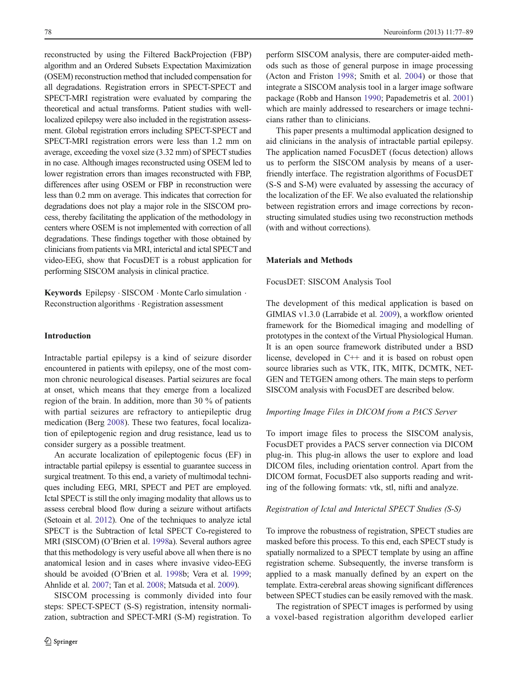reconstructed by using the Filtered BackProjection (FBP) algorithm and an Ordered Subsets Expectation Maximization (OSEM) reconstruction method that included compensation for all degradations. Registration errors in SPECT-SPECT and SPECT-MRI registration were evaluated by comparing the theoretical and actual transforms. Patient studies with welllocalized epilepsy were also included in the registration assessment. Global registration errors including SPECT-SPECT and SPECT-MRI registration errors were less than 1.2 mm on average, exceeding the voxel size (3.32 mm) of SPECT studies in no case. Although images reconstructed using OSEM led to lower registration errors than images reconstructed with FBP, differences after using OSEM or FBP in reconstruction were less than 0.2 mm on average. This indicates that correction for degradations does not play a major role in the SISCOM process, thereby facilitating the application of the methodology in centers where OSEM is not implemented with correction of all degradations. These findings together with those obtained by clinicians from patients via MRI, interictal and ictal SPECT and video-EEG, show that FocusDET is a robust application for performing SISCOM analysis in clinical practice.

Keywords Epilepsy . SISCOM . Monte Carlo simulation . Reconstruction algorithms . Registration assessment

## Introduction

Intractable partial epilepsy is a kind of seizure disorder encountered in patients with epilepsy, one of the most common chronic neurological diseases. Partial seizures are focal at onset, which means that they emerge from a localized region of the brain. In addition, more than 30 % of patients with partial seizures are refractory to antiepileptic drug medication (Berg [2008](#page-11-0)). These two features, focal localization of epileptogenic region and drug resistance, lead us to consider surgery as a possible treatment.

An accurate localization of epileptogenic focus (EF) in intractable partial epilepsy is essential to guarantee success in surgical treatment. To this end, a variety of multimodal techniques including EEG, MRI, SPECT and PET are employed. Ictal SPECT is still the only imaging modality that allows us to assess cerebral blood flow during a seizure without artifacts (Setoain et al. [2012\)](#page-12-0). One of the techniques to analyze ictal SPECT is the Subtraction of Ictal SPECT Co-registered to MRI (SISCOM) (O'Brien et al. [1998](#page-12-0)a). Several authors agree that this methodology is very useful above all when there is no anatomical lesion and in cases where invasive video-EEG should be avoided (O'Brien et al. [1998](#page-12-0)b; Vera et al. [1999](#page-12-0); Ahnlide et al. [2007](#page-11-0); Tan et al. [2008](#page-12-0); Matsuda et al. [2009\)](#page-11-0).

SISCOM processing is commonly divided into four steps: SPECT-SPECT (S-S) registration, intensity normalization, subtraction and SPECT-MRI (S-M) registration. To perform SISCOM analysis, there are computer-aided methods such as those of general purpose in image processing (Acton and Friston [1998](#page-11-0); Smith et al. [2004\)](#page-12-0) or those that integrate a SISCOM analysis tool in a larger image software package (Robb and Hanson [1990](#page-12-0); Papademetris et al. [2001](#page-12-0)) which are mainly addressed to researchers or image technicians rather than to clinicians.

This paper presents a multimodal application designed to aid clinicians in the analysis of intractable partial epilepsy. The application named FocusDET (focus detection) allows us to perform the SISCOM analysis by means of a userfriendly interface. The registration algorithms of FocusDET (S-S and S-M) were evaluated by assessing the accuracy of the localization of the EF. We also evaluated the relationship between registration errors and image corrections by reconstructing simulated studies using two reconstruction methods (with and without corrections).

### Materials and Methods

#### FocusDET: SISCOM Analysis Tool

The development of this medical application is based on GIMIAS v1.3.0 (Larrabide et al. [2009](#page-11-0)), a workflow oriented framework for the Biomedical imaging and modelling of prototypes in the context of the Virtual Physiological Human. It is an open source framework distributed under a BSD license, developed in C++ and it is based on robust open source libraries such as VTK, ITK, MITK, DCMTK, NET-GEN and TETGEN among others. The main steps to perform SISCOM analysis with FocusDET are described below.

## Importing Image Files in DICOM from a PACS Server

To import image files to process the SISCOM analysis, FocusDET provides a PACS server connection via DICOM plug-in. This plug-in allows the user to explore and load DICOM files, including orientation control. Apart from the DICOM format, FocusDET also supports reading and writing of the following formats: vtk, stl, nifti and analyze.

#### Registration of Ictal and Interictal SPECT Studies (S-S)

To improve the robustness of registration, SPECT studies are masked before this process. To this end, each SPECT study is spatially normalized to a SPECT template by using an affine registration scheme. Subsequently, the inverse transform is applied to a mask manually defined by an expert on the template. Extra-cerebral areas showing significant differences between SPECT studies can be easily removed with the mask.

The registration of SPECT images is performed by using a voxel-based registration algorithm developed earlier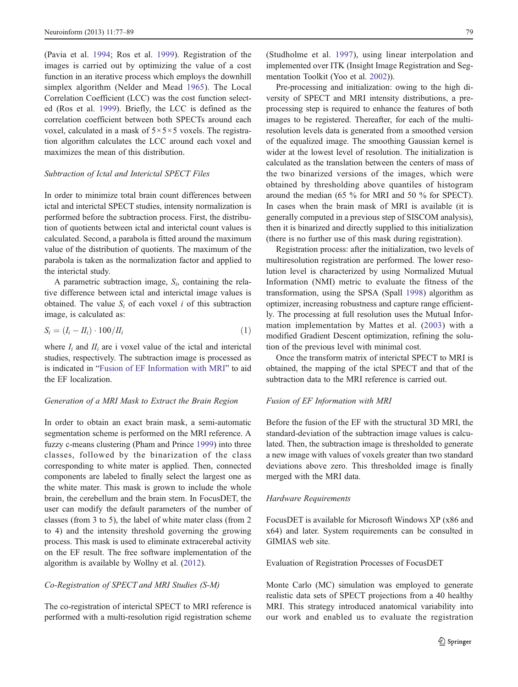(Pavia et al. [1994](#page-12-0); Ros et al. [1999\)](#page-12-0). Registration of the images is carried out by optimizing the value of a cost function in an iterative process which employs the downhill simplex algorithm (Nelder and Mead [1965](#page-12-0)). The Local Correlation Coefficient (LCC) was the cost function selected (Ros et al. [1999\)](#page-12-0). Briefly, the LCC is defined as the correlation coefficient between both SPECTs around each voxel, calculated in a mask of  $5 \times 5 \times 5$  voxels. The registration algorithm calculates the LCC around each voxel and maximizes the mean of this distribution.

## Subtraction of Ictal and Interictal SPECT Files

In order to minimize total brain count differences between ictal and interictal SPECT studies, intensity normalization is performed before the subtraction process. First, the distribution of quotients between ictal and interictal count values is calculated. Second, a parabola is fitted around the maximum value of the distribution of quotients. The maximum of the parabola is taken as the normalization factor and applied to the interictal study.

A parametric subtraction image,  $S_i$ , containing the relative difference between ictal and interictal image values is obtained. The value  $S_i$  of each voxel i of this subtraction image, is calculated as:

$$
S_i = (I_i - II_i) \cdot 100 / II_i \tag{1}
$$

where  $I_i$  and  $II_i$  are i voxel value of the ictal and interictal studies, respectively. The subtraction image is processed as is indicated in "Fusion of EF Information with MRI" to aid the EF localization.

#### Generation of a MRI Mask to Extract the Brain Region

In order to obtain an exact brain mask, a semi-automatic segmentation scheme is performed on the MRI reference. A fuzzy c-means clustering (Pham and Prince [1999\)](#page-12-0) into three classes, followed by the binarization of the class corresponding to white mater is applied. Then, connected components are labeled to finally select the largest one as the white mater. This mask is grown to include the whole brain, the cerebellum and the brain stem. In FocusDET, the user can modify the default parameters of the number of classes (from 3 to 5), the label of white mater class (from 2 to 4) and the intensity threshold governing the growing process. This mask is used to eliminate extracerebal activity on the EF result. The free software implementation of the algorithm is available by Wollny et al. [\(2012](#page-12-0)).

## Co-Registration of SPECT and MRI Studies (S-M)

The co-registration of interictal SPECT to MRI reference is performed with a multi-resolution rigid registration scheme

(Studholme et al. [1997](#page-12-0)), using linear interpolation and implemented over ITK (Insight Image Registration and Segmentation Toolkit (Yoo et al. [2002](#page-12-0))).

Pre-processing and initialization: owing to the high diversity of SPECT and MRI intensity distributions, a preprocessing step is required to enhance the features of both images to be registered. Thereafter, for each of the multiresolution levels data is generated from a smoothed version of the equalized image. The smoothing Gaussian kernel is wider at the lowest level of resolution. The initialization is calculated as the translation between the centers of mass of the two binarized versions of the images, which were obtained by thresholding above quantiles of histogram around the median (65 % for MRI and 50 % for SPECT). In cases when the brain mask of MRI is available (it is generally computed in a previous step of SISCOM analysis), then it is binarized and directly supplied to this initialization (there is no further use of this mask during registration).

Registration process: after the initialization, two levels of multiresolution registration are performed. The lower resolution level is characterized by using Normalized Mutual Information (NMI) metric to evaluate the fitness of the transformation, using the SPSA (Spall [1998\)](#page-12-0) algorithm as optimizer, increasing robustness and capture range efficiently. The processing at full resolution uses the Mutual Information implementation by Mattes et al. ([2003\)](#page-11-0) with a modified Gradient Descent optimization, refining the solution of the previous level with minimal cost.

Once the transform matrix of interictal SPECT to MRI is obtained, the mapping of the ictal SPECT and that of the subtraction data to the MRI reference is carried out.

#### Fusion of EF Information with MRI

Before the fusion of the EF with the structural 3D MRI, the standard-deviation of the subtraction image values is calculated. Then, the subtraction image is thresholded to generate a new image with values of voxels greater than two standard deviations above zero. This thresholded image is finally merged with the MRI data.

#### Hardware Requirements

FocusDET is available for Microsoft Windows XP (x86 and x64) and later. System requirements can be consulted in GIMIAS web site.

## Evaluation of Registration Processes of FocusDET

Monte Carlo (MC) simulation was employed to generate realistic data sets of SPECT projections from a 40 healthy MRI. This strategy introduced anatomical variability into our work and enabled us to evaluate the registration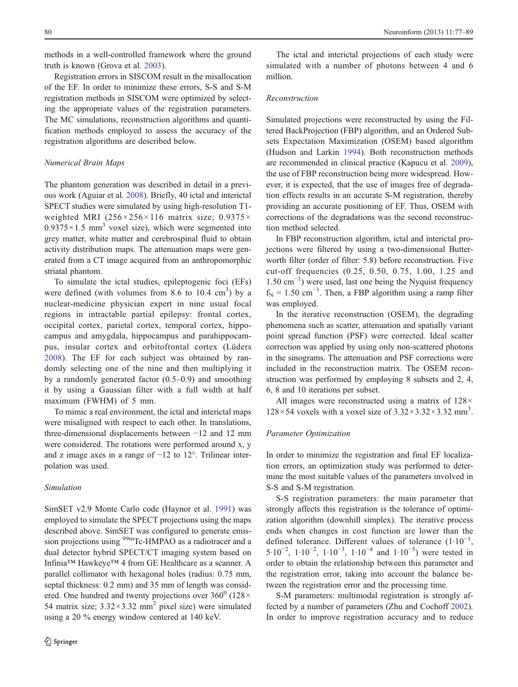methods in a well-controlled framework where the ground truth is known (Grova et al. [2003\)](#page-11-0).

Registration errors in SISCOM result in the misallocation of the EF. In order to minimize these errors, S-S and S-M registration methods in SISCOM were optimized by selecting the appropriate values of the registration parameters. The MC simulations, reconstruction algorithms and quantification methods employed to assess the accuracy of the registration algorithms are described below.

## Numerical Brain Maps

The phantom generation was described in detail in a previous work (Aguiar et al. [2008](#page-11-0)). Briefly, 40 ictal and interictal SPECT studies were simulated by using high-resolution T1 weighted MRI ( $256 \times 256 \times 116$  matrix size;  $0.9375 \times$  $0.9375 \times 1.5$  mm<sup>3</sup> voxel size), which were segmented into grey matter, white matter and cerebrospinal fluid to obtain activity distribution maps. The attenuation maps were generated from a CT image acquired from an anthropomorphic striatal phantom.

To simulate the ictal studies, epileptogenic foci (EFs) were defined (with volumes from  $8.6$  to  $10.4 \text{ cm}^3$ ) by a nuclear-medicine physician expert in nine usual focal regions in intractable partial epilepsy: frontal cortex, occipital cortex, parietal cortex, temporal cortex, hippocampus and amygdala, hippocampus and parahippocampus, insular cortex and orbitofrontal cortex (Lüders [2008](#page-11-0)). The EF for each subject was obtained by randomly selecting one of the nine and then multiplying it by a randomly generated factor (0.5–0.9) and smoothing it by using a Gaussian filter with a full width at half maximum (FWHM) of 5 mm.

To mimic a real environment, the ictal and interictal maps were misaligned with respect to each other. In translations, three-dimensional displacements between −12 and 12 mm were considered. The rotations were performed around x, y and z image axes in a range of −12 to 12°. Trilinear interpolation was used.

## Simulation

SimSET v2.9 Monte Carlo code (Haynor et al. [1991\)](#page-11-0) was employed to simulate the SPECT projections using the maps described above. SimSET was configured to generate emission projections using <sup>99m</sup>Tc-HMPAO as a radiotracer and a dual detector hybrid SPECT/CT imaging system based on Infinia™ Hawkeye™ 4 from GE Healthcare as a scanner. A parallel collimator with hexagonal holes (radius: 0.75 mm, septal thickness: 0.2 mm) and 35 mm of length was considered. One hundred and twenty projections over  $360^{\circ}$  (128 $\times$ 54 matrix size;  $3.32 \times 3.32$  mm<sup>2</sup> pixel size) were simulated using a 20 % energy window centered at 140 keV.

The ictal and interictal projections of each study were simulated with a number of photons between 4 and 6 million.

## Reconstruction

Simulated projections were reconstructed by using the Filtered BackProjection (FBP) algorithm, and an Ordered Subsets Expectation Maximization (OSEM) based algorithm (Hudson and Larkin [1994\)](#page-11-0). Both reconstruction methods are recommended in clinical practice (Kapucu et al. [2009\)](#page-11-0), the use of FBP reconstruction being more widespread. However, it is expected, that the use of images free of degradation effects results in an accurate S-M registration, thereby providing an accurate positioning of EF. Thus, OSEM with corrections of the degradations was the second reconstruction method selected.

In FBP reconstruction algorithm, ictal and interictal projections were filtered by using a two-dimensional Butterworth filter (order of filter: 5.8) before reconstruction. Five cut-off frequencies (0.25, 0.50, 0.75, 1.00, 1.25 and 1.50 cm−<sup>1</sup> ) were used, last one being the Nyquist frequency  $f<sub>N</sub>$  = 1.50 cm<sup>-1</sup>. Then, a FBP algorithm using a ramp filter was employed.

In the iterative reconstruction (OSEM), the degrading phenomena such as scatter, attenuation and spatially variant point spread function (PSF) were corrected. Ideal scatter correction was applied by using only non-scattered photons in the sinograms. The attenuation and PSF corrections were included in the reconstruction matrix. The OSEM reconstruction was performed by employing 8 subsets and 2, 4, 6, 8 and 10 iterations per subset.

All images were reconstructed using a matrix of  $128 \times$  $128 \times 54$  voxels with a voxel size of  $3.32 \times 3.32 \times 3.32$  mm<sup>3</sup>.

### Parameter Optimization

In order to minimize the registration and final EF localization errors, an optimization study was performed to determine the most suitable values of the parameters involved in S-S and S-M registration.

S-S registration parameters: the main parameter that strongly affects this registration is the tolerance of optimization algorithm (downhill simplex). The iterative process ends when changes in cost function are lower than the defined tolerance. Different values of tolerance  $(1 \cdot 10^{-1})$ , 5·10<sup>-2</sup>, 1·10<sup>-2</sup>, 1·10<sup>-3</sup>, 1·10<sup>-4</sup> and 1·10<sup>-5</sup>) were tested in order to obtain the relationship between this parameter and the registration error, taking into account the balance between the registration error and the processing time.

S-M parameters: multimodal registration is strongly affected by a number of parameters (Zhu and Cochoff [2002\)](#page-12-0). In order to improve registration accuracy and to reduce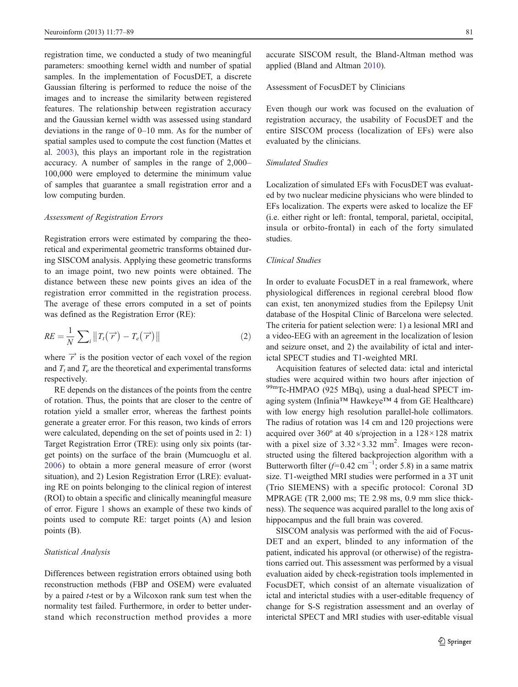registration time, we conducted a study of two meaningful parameters: smoothing kernel width and number of spatial samples. In the implementation of FocusDET, a discrete Gaussian filtering is performed to reduce the noise of the images and to increase the similarity between registered features. The relationship between registration accuracy and the Gaussian kernel width was assessed using standard deviations in the range of 0–10 mm. As for the number of spatial samples used to compute the cost function (Mattes et al. [2003](#page-11-0)), this plays an important role in the registration accuracy. A number of samples in the range of 2,000– 100,000 were employed to determine the minimum value of samples that guarantee a small registration error and a low computing burden.

#### Assessment of Registration Errors

Registration errors were estimated by comparing the theoretical and experimental geometric transforms obtained during SISCOM analysis. Applying these geometric transforms to an image point, two new points were obtained. The distance between these new points gives an idea of the registration error committed in the registration process. The average of these errors computed in a set of points was defined as the Registration Error (RE):

$$
RE = \frac{1}{N} \sum_{i} \left\| T_t(\overrightarrow{r}) - T_e(\overrightarrow{r}) \right\| \tag{2}
$$

where  $\vec{r}$  is the position vector of each voxel of the region and  $T_t$  and  $T_e$  are the theoretical and experimental transforms respectively.

RE depends on the distances of the points from the centre of rotation. Thus, the points that are closer to the centre of rotation yield a smaller error, whereas the farthest points generate a greater error. For this reason, two kinds of errors were calculated, depending on the set of points used in 2: 1) Target Registration Error (TRE): using only six points (target points) on the surface of the brain (Mumcuoglu et al. [2006](#page-12-0)) to obtain a more general measure of error (worst situation), and 2) Lesion Registration Error (LRE): evaluating RE on points belonging to the clinical region of interest (ROI) to obtain a specific and clinically meaningful measure of error. Figure [1](#page-5-0) shows an example of these two kinds of points used to compute RE: target points (A) and lesion points (B).

#### Statistical Analysis

Differences between registration errors obtained using both reconstruction methods (FBP and OSEM) were evaluated by a paired t-test or by a Wilcoxon rank sum test when the normality test failed. Furthermore, in order to better understand which reconstruction method provides a more

accurate SISCOM result, the Bland-Altman method was applied (Bland and Altman [2010](#page-11-0)).

#### Assessment of FocusDET by Clinicians

Even though our work was focused on the evaluation of registration accuracy, the usability of FocusDET and the entire SISCOM process (localization of EFs) were also evaluated by the clinicians.

## Simulated Studies

Localization of simulated EFs with FocusDET was evaluated by two nuclear medicine physicians who were blinded to EFs localization. The experts were asked to localize the EF (i.e. either right or left: frontal, temporal, parietal, occipital, insula or orbito-frontal) in each of the forty simulated studies.

## Clinical Studies

In order to evaluate FocusDET in a real framework, where physiological differences in regional cerebral blood flow can exist, ten anonymized studies from the Epilepsy Unit database of the Hospital Clinic of Barcelona were selected. The criteria for patient selection were: 1) a lesional MRI and a video-EEG with an agreement in the localization of lesion and seizure onset, and 2) the availability of ictal and interictal SPECT studies and T1-weighted MRI.

Acquisition features of selected data: ictal and interictal studies were acquired within two hours after injection of <sup>99m</sup>Tc-HMPAO (925 MBq), using a dual-head SPECT imaging system (Infinia™ Hawkeye™ 4 from GE Healthcare) with low energy high resolution parallel-hole collimators. The radius of rotation was 14 cm and 120 projections were acquired over 360º at 40 s/projection in a 128×128 matrix with a pixel size of  $3.32 \times 3.32$  mm<sup>2</sup>. Images were reconstructed using the filtered backprojection algorithm with a Butterworth filter (f=0.42 cm<sup>-1</sup>; order 5.8) in a same matrix size. T1-weigthed MRI studies were performed in a 3T unit (Trio SIEMENS) with a specific protocol: Coronal 3D MPRAGE (TR 2,000 ms; TE 2.98 ms, 0.9 mm slice thickness). The sequence was acquired parallel to the long axis of hippocampus and the full brain was covered.

SISCOM analysis was performed with the aid of Focus-DET and an expert, blinded to any information of the patient, indicated his approval (or otherwise) of the registrations carried out. This assessment was performed by a visual evaluation aided by check-registration tools implemented in FocusDET, which consist of an alternate visualization of ictal and interictal studies with a user-editable frequency of change for S-S registration assessment and an overlay of interictal SPECT and MRI studies with user-editable visual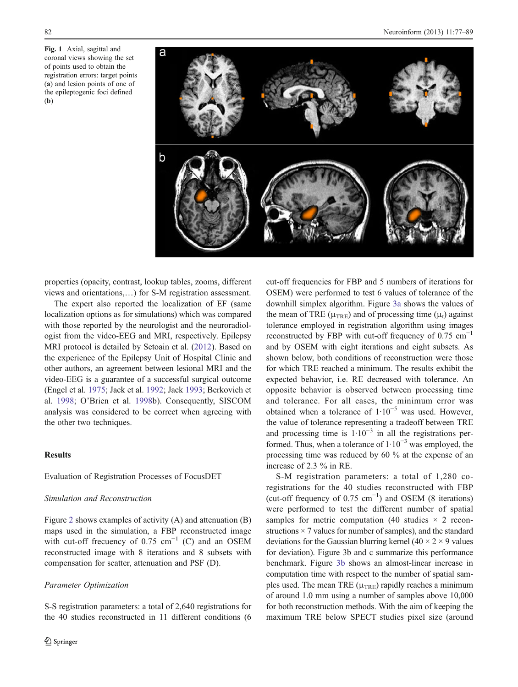<span id="page-5-0"></span>Fig. 1 Axial, sagittal and coronal views showing the set of points used to obtain the registration errors: target points (a) and lesion points of one of the epileptogenic foci defined (b)



properties (opacity, contrast, lookup tables, zooms, different views and orientations,…) for S-M registration assessment.

The expert also reported the localization of EF (same localization options as for simulations) which was compared with those reported by the neurologist and the neuroradiologist from the video-EEG and MRI, respectively. Epilepsy MRI protocol is detailed by Setoain et al. [\(2012](#page-12-0)). Based on the experience of the Epilepsy Unit of Hospital Clinic and other authors, an agreement between lesional MRI and the video-EEG is a guarantee of a successful surgical outcome (Engel et al. [1975](#page-11-0); Jack et al. [1992;](#page-11-0) Jack [1993](#page-11-0); Berkovich et al. [1998](#page-11-0); O'Brien et al. [1998](#page-12-0)b). Consequently, SISCOM analysis was considered to be correct when agreeing with the other two techniques.

## Results

# Evaluation of Registration Processes of FocusDET

# Simulation and Reconstruction

Figure [2](#page-6-0) shows examples of activity (A) and attenuation (B) maps used in the simulation, a FBP reconstructed image with cut-off frecuency of 0.75 cm<sup>-1</sup> (C) and an OSEM reconstructed image with 8 iterations and 8 subsets with compensation for scatter, attenuation and PSF (D).

#### Parameter Optimization

S-S registration parameters: a total of 2,640 registrations for the 40 studies reconstructed in 11 different conditions (6 cut-off frequencies for FBP and 5 numbers of iterations for OSEM) were performed to test 6 values of tolerance of the downhill simplex algorithm. Figure [3a](#page-7-0) shows the values of the mean of TRE ( $\mu_{\text{TRE}}$ ) and of processing time ( $\mu_t$ ) against tolerance employed in registration algorithm using images reconstructed by FBP with cut-off frequency of  $0.75 \text{ cm}^{-1}$ and by OSEM with eight iterations and eight subsets. As shown below, both conditions of reconstruction were those for which TRE reached a minimum. The results exhibit the expected behavior, i.e. RE decreased with tolerance. An opposite behavior is observed between processing time and tolerance. For all cases, the minimum error was obtained when a tolerance of 1·10−<sup>5</sup> was used. However, the value of tolerance representing a tradeoff between TRE and processing time is  $1 \cdot 10^{-3}$  in all the registrations performed. Thus, when a tolerance of  $1 \cdot 10^{-3}$  was employed, the processing time was reduced by 60 % at the expense of an increase of 2.3 % in RE.

S-M registration parameters: a total of 1,280 coregistrations for the 40 studies reconstructed with FBP (cut-off frequency of 0.75 cm−<sup>1</sup> ) and OSEM (8 iterations) were performed to test the different number of spatial samples for metric computation (40 studies  $\times$  2 reconstructions  $\times$  7 values for number of samples), and the standard deviations for the Gaussian blurring kernel  $(40 \times 2 \times 9)$  values for deviation). Figure 3b and c summarize this performance benchmark. Figure [3b](#page-7-0) shows an almost-linear increase in computation time with respect to the number of spatial samples used. The mean TRE ( $\mu_{\text{TRE}}$ ) rapidly reaches a minimum of around 1.0 mm using a number of samples above 10,000 for both reconstruction methods. With the aim of keeping the maximum TRE below SPECT studies pixel size (around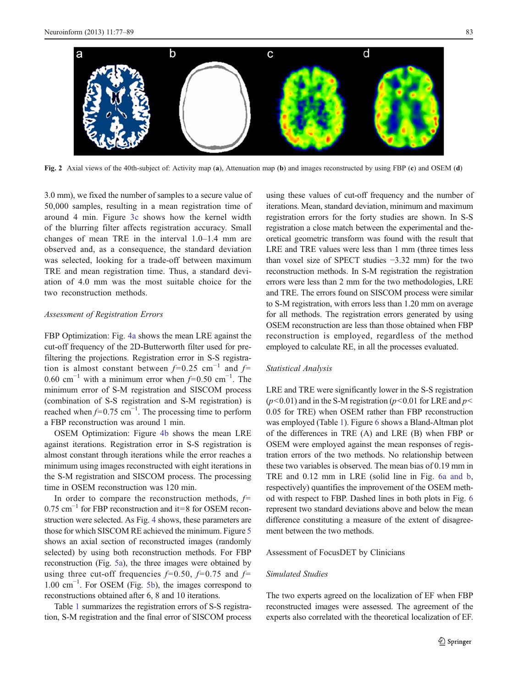<span id="page-6-0"></span>

Fig. 2 Axial views of the 40th-subject of: Activity map (a), Attenuation map (b) and images reconstructed by using FBP (c) and OSEM (d)

3.0 mm), we fixed the number of samples to a secure value of 50,000 samples, resulting in a mean registration time of around 4 min. Figure [3c](#page-7-0) shows how the kernel width of the blurring filter affects registration accuracy. Small changes of mean TRE in the interval 1.0–1.4 mm are observed and, as a consequence, the standard deviation was selected, looking for a trade-off between maximum TRE and mean registration time. Thus, a standard deviation of 4.0 mm was the most suitable choice for the two reconstruction methods.

## Assessment of Registration Errors

FBP Optimization: Fig. [4a](#page-8-0) shows the mean LRE against the cut-off frequency of the 2D-Butterworth filter used for prefiltering the projections. Registration error in S-S registration is almost constant between  $f=0.25$  cm<sup>-1</sup> and  $f=$ 0.60 cm<sup>-1</sup> with a minimum error when  $f=0.50$  cm<sup>-1</sup>. The minimum error of S-M registration and SISCOM process (combination of S-S registration and S-M registration) is reached when  $f=0.75$  cm<sup>-1</sup>. The processing time to perform a FBP reconstruction was around 1 min.

OSEM Optimization: Figure [4b](#page-8-0) shows the mean LRE against iterations. Registration error in S-S registration is almost constant through iterations while the error reaches a minimum using images reconstructed with eight iterations in the S-M registration and SISCOM process. The processing time in OSEM reconstruction was 120 min.

In order to compare the reconstruction methods,  $f=$  $0.75$  cm<sup>-1</sup> for FBP reconstruction and it=8 for OSEM reconstruction were selected. As Fig. [4](#page-8-0) shows, these parameters are those for which SISCOM RE achieved the minimum. Figure [5](#page-8-0) shows an axial section of reconstructed images (randomly selected) by using both reconstruction methods. For FBP reconstruction (Fig. [5a](#page-8-0)), the three images were obtained by using three cut-off frequencies  $f=0.50$ ,  $f=0.75$  and  $f=$ 1.00 cm−<sup>1</sup> . For OSEM (Fig. [5b](#page-8-0)), the images correspond to reconstructions obtained after 6, 8 and 10 iterations.

Table [1](#page-9-0) summarizes the registration errors of S-S registration, S-M registration and the final error of SISCOM process using these values of cut-off frequency and the number of iterations. Mean, standard deviation, minimum and maximum registration errors for the forty studies are shown. In S-S registration a close match between the experimental and theoretical geometric transform was found with the result that LRE and TRE values were less than 1 mm (three times less than voxel size of SPECT studies −3.32 mm) for the two reconstruction methods. In S-M registration the registration errors were less than 2 mm for the two methodologies, LRE and TRE. The errors found on SISCOM process were similar to S-M registration, with errors less than 1.20 mm on average for all methods. The registration errors generated by using OSEM reconstruction are less than those obtained when FBP reconstruction is employed, regardless of the method employed to calculate RE, in all the processes evaluated.

# Statistical Analysis

LRE and TRE were significantly lower in the S-S registration  $(p<0.01)$  and in the S-M registration ( $p<0.01$  for LRE and  $p<$ 0.05 for TRE) when OSEM rather than FBP reconstruction was employed (Table [1\)](#page-9-0). Figure [6](#page-9-0) shows a Bland-Altman plot of the differences in TRE (A) and LRE (B) when FBP or OSEM were employed against the mean responses of registration errors of the two methods. No relationship between these two variables is observed. The mean bias of 0.19 mm in TRE and 0.12 mm in LRE (solid line in Fig. [6a and b,](#page-9-0) respectively) quantifies the improvement of the OSEM method with respect to FBP. Dashed lines in both plots in Fig. [6](#page-9-0) represent two standard deviations above and below the mean difference constituting a measure of the extent of disagreement between the two methods.

#### Assessment of FocusDET by Clinicians

## Simulated Studies

The two experts agreed on the localization of EF when FBP reconstructed images were assessed. The agreement of the experts also correlated with the theoretical localization of EF.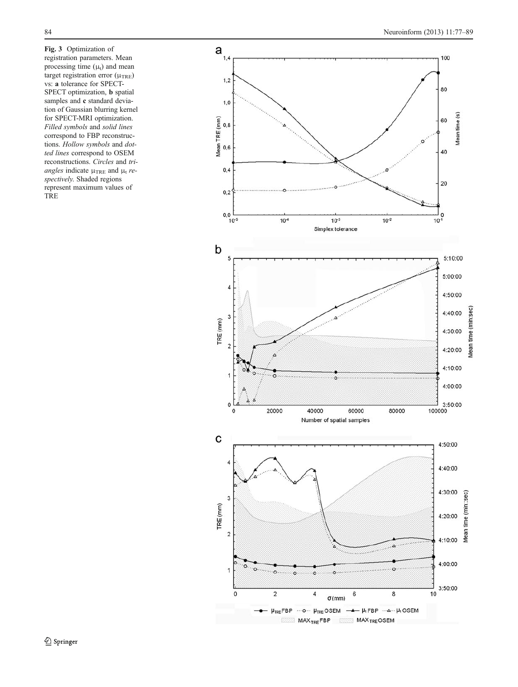<span id="page-7-0"></span>Fig. 3 Optimization of registration parameters. Mean processing time  $(\mu_t)$  and mean target registration error  $(\mu_{\text{TRE}})$ vs: a tolerance for SPECT-SPECT optimization, b spatial samples and c standard deviation of Gaussian blurring kernel for SPECT-MRI optimization. Filled symbols and solid lines correspond to FBP reconstructions. Hollow symbols and dotted lines correspond to OSEM reconstructions. Circles and triangles indicate  $\mu_{\text{TRE}}$  and  $\mu_t$  respectively. Shaded regions represent maximum values of TRE

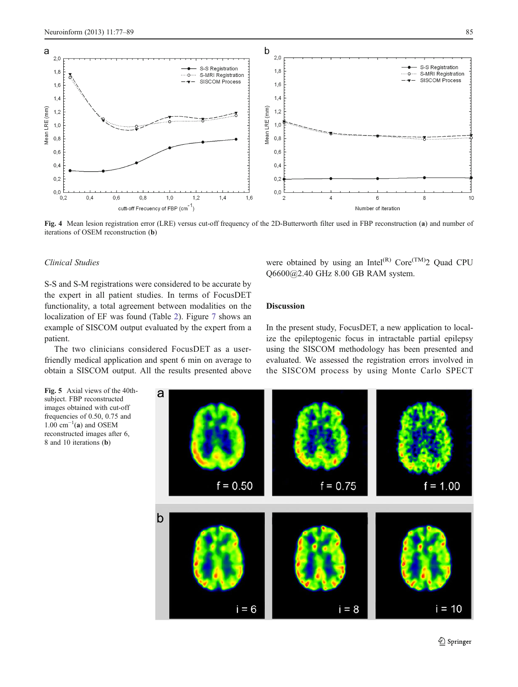<span id="page-8-0"></span>

Fig. 4 Mean lesion registration error (LRE) versus cut-off frequency of the 2D-Butterworth filter used in FBP reconstruction (a) and number of iterations of OSEM reconstruction (b)

## Clinical Studies

S-S and S-M registrations were considered to be accurate by the expert in all patient studies. In terms of FocusDET functionality, a total agreement between modalities on the localization of EF was found (Table [2](#page-10-0)). Figure [7](#page-10-0) shows an example of SISCOM output evaluated by the expert from a patient.

The two clinicians considered FocusDET as a userfriendly medical application and spent 6 min on average to obtain a SISCOM output. All the results presented above were obtained by using an Intel<sup>(R)</sup> Core<sup>(TM)</sup>2 Quad CPU Q6600@2.40 GHz 8.00 GB RAM system.

# Discussion

In the present study, FocusDET, a new application to localize the epileptogenic focus in intractable partial epilepsy using the SISCOM methodology has been presented and evaluated. We assessed the registration errors involved in the SISCOM process by using Monte Carlo SPECT



Fig. 5 Axial views of the 40thsubject. FBP reconstructed images obtained with cut-off frequencies of 0.50, 0.75 and  $1.00 \text{ cm}^{-1}(\textbf{a})$  and OSEM reconstructed images after 6, 8 and 10 iterations (b)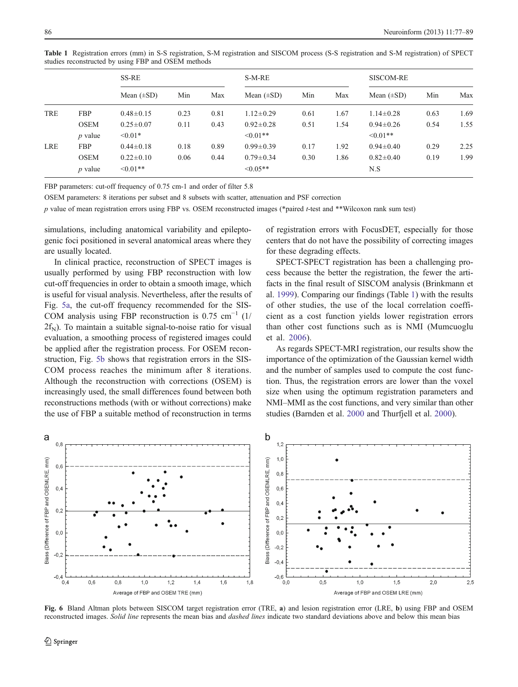|     |             | SS-RE           |      |      | S-M-RE          |      |      | SISCOM-RE       |      |      |
|-----|-------------|-----------------|------|------|-----------------|------|------|-----------------|------|------|
|     |             | Mean $(\pm SD)$ | Min  | Max  | Mean $(\pm SD)$ | Min  | Max  | Mean $(\pm SD)$ | Min  | Max  |
| TRE | <b>FBP</b>  | $0.48 \pm 0.15$ | 0.23 | 0.81 | $1.12 \pm 0.29$ | 0.61 | 1.67 | $1.14 \pm 0.28$ | 0.63 | 1.69 |
|     | <b>OSEM</b> | $0.25 \pm 0.07$ | 0.11 | 0.43 | $0.92 \pm 0.28$ | 0.51 | 1.54 | $0.94 \pm 0.26$ | 0.54 | 1.55 |
|     | $p$ value   | $< 0.01*$       |      |      | $< 0.01**$      |      |      | $\leq 0.01**$   |      |      |
| LRE | FBP         | $0.44 \pm 0.18$ | 0.18 | 0.89 | $0.99 \pm 0.39$ | 0.17 | 1.92 | $0.94 \pm 0.40$ | 0.29 | 2.25 |
|     | <b>OSEM</b> | $0.22 \pm 0.10$ | 0.06 | 0.44 | $0.79 \pm 0.34$ | 0.30 | 1.86 | $0.82 \pm 0.40$ | 0.19 | 1.99 |
|     | $p$ value   | $\leq 0.01**$   |      |      | $\leq 0.05**$   |      |      | N.S             |      |      |

<span id="page-9-0"></span>Table 1 Registration errors (mm) in S-S registration, S-M registration and SISCOM process (S-S registration and S-M registration) of SPECT studies reconstructed by using FBP and OSEM methods

FBP parameters: cut-off frequency of 0.75 cm-1 and order of filter 5.8

OSEM parameters: 8 iterations per subset and 8 subsets with scatter, attenuation and PSF correction

p value of mean registration errors using FBP vs. OSEM reconstructed images (\*paired t-test and \*\*Wilcoxon rank sum test)

simulations, including anatomical variability and epileptogenic foci positioned in several anatomical areas where they are usually located.

In clinical practice, reconstruction of SPECT images is usually performed by using FBP reconstruction with low cut-off frequencies in order to obtain a smooth image, which is useful for visual analysis. Nevertheless, after the results of Fig. [5a,](#page-8-0) the cut-off frequency recommended for the SIS-COM analysis using FBP reconstruction is 0.75 cm<sup>-1</sup> (1/  $2f_N$ ). To maintain a suitable signal-to-noise ratio for visual evaluation, a smoothing process of registered images could be applied after the registration process. For OSEM reconstruction, Fig. [5b](#page-8-0) shows that registration errors in the SIS-COM process reaches the minimum after 8 iterations. Although the reconstruction with corrections (OSEM) is increasingly used, the small differences found between both reconstructions methods (with or without corrections) make the use of FBP a suitable method of reconstruction in terms of registration errors with FocusDET, especially for those centers that do not have the possibility of correcting images for these degrading effects.

SPECT-SPECT registration has been a challenging process because the better the registration, the fewer the artifacts in the final result of SISCOM analysis (Brinkmann et al. [1999](#page-11-0)). Comparing our findings (Table 1) with the results of other studies, the use of the local correlation coefficient as a cost function yields lower registration errors than other cost functions such as is NMI (Mumcuoglu et al. [2006\)](#page-12-0).

As regards SPECT-MRI registration, our results show the importance of the optimization of the Gaussian kernel width and the number of samples used to compute the cost function. Thus, the registration errors are lower than the voxel size when using the optimum registration parameters and NMI–MMI as the cost functions, and very similar than other studies (Barnden et al. [2000](#page-11-0) and Thurfjell et al. [2000\)](#page-12-0).



Fig. 6 Bland Altman plots between SISCOM target registration error (TRE, a) and lesion registration error (LRE, b) using FBP and OSEM reconstructed images. Solid line represents the mean bias and dashed lines indicate two standard deviations above and below this mean bias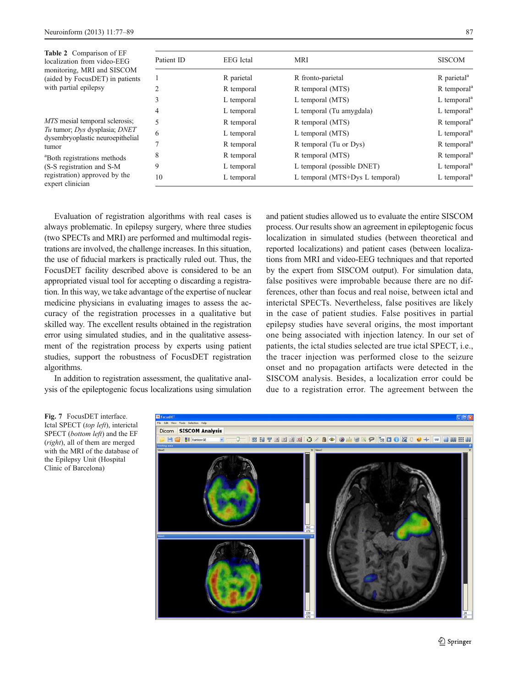(S-S registration and S-M registration) approved by the

expert clinician

<span id="page-10-0"></span>

| Table 2 Comparison of EF<br>localization from video-EEG       | Patient ID | <b>EEG</b> Ictal | <b>MRI</b>               | <b>SISCOM</b>                               |
|---------------------------------------------------------------|------------|------------------|--------------------------|---------------------------------------------|
| monitoring, MRI and SISCOM<br>(aided by FocusDET) in patients |            | R parietal       | R fronto-parietal        | R parietal <sup>a</sup>                     |
| with partial epilepsy                                         |            | R temporal       | R temporal (MTS)         | R temporal <sup>®</sup>                     |
|                                                               |            | L temporal       | L temporal (MTS)         | $L$ temporal <sup><math>\alpha</math></sup> |
|                                                               | 4          | L temporal       | L temporal (Tu amygdala) | $L$ temporal <sup><math>\alpha</math></sup> |
| <i>MTS</i> mesial temporal sclerosis;                         |            | R temporal       | R temporal (MTS)         | R temporal <sup>®</sup>                     |
| Tu tumor; Dys dysplasia; DNET                                 | 6          | L temporal       | L temporal (MTS)         | $L$ temporal <sup>a</sup>                   |
| dysembryoplastic neuroepithelial<br>tumor                     |            | R temporal       | R temporal (Tu or Dys)   | R temporal <sup>8</sup>                     |
| <sup>a</sup> Both registrations methods                       | 8          | R temporal       | R temporal (MTS)         | R temporal <sup>®</sup>                     |
|                                                               |            |                  |                          |                                             |

9 L temporal L temporal (possible DNET) L temporal<sup>a</sup> 10 L temporal L temporal (MTS+Dys L temporal) L temporal<sup>a</sup>

Evaluation of registration algorithms with real cases is always problematic. In epilepsy surgery, where three studies (two SPECTs and MRI) are performed and multimodal registrations are involved, the challenge increases. In this situation, the use of fiducial markers is practically ruled out. Thus, the FocusDET facility described above is considered to be an appropriated visual tool for accepting o discarding a registration. In this way, we take advantage of the expertise of nuclear medicine physicians in evaluating images to assess the accuracy of the registration processes in a qualitative but skilled way. The excellent results obtained in the registration error using simulated studies, and in the qualitative assessment of the registration process by experts using patient studies, support the robustness of FocusDET registration algorithms.

In addition to registration assessment, the qualitative analysis of the epileptogenic focus localizations using simulation and patient studies allowed us to evaluate the entire SISCOM process. Our results show an agreement in epileptogenic focus localization in simulated studies (between theoretical and reported localizations) and patient cases (between localizations from MRI and video-EEG techniques and that reported by the expert from SISCOM output). For simulation data, false positives were improbable because there are no differences, other than focus and real noise, between ictal and interictal SPECTs. Nevertheless, false positives are likely in the case of patient studies. False positives in partial epilepsy studies have several origins, the most important one being associated with injection latency. In our set of patients, the ictal studies selected are true ictal SPECT, i.e., the tracer injection was performed close to the seizure onset and no propagation artifacts were detected in the SISCOM analysis. Besides, a localization error could be due to a registration error. The agreement between the



Fig. 7 FocusDET interface. Ictal SPECT (top left), interictal SPECT (bottom left) and the EF (right), all of them are merged with the MRI of the database of the Epilepsy Unit (Hospital Clinic of Barcelona)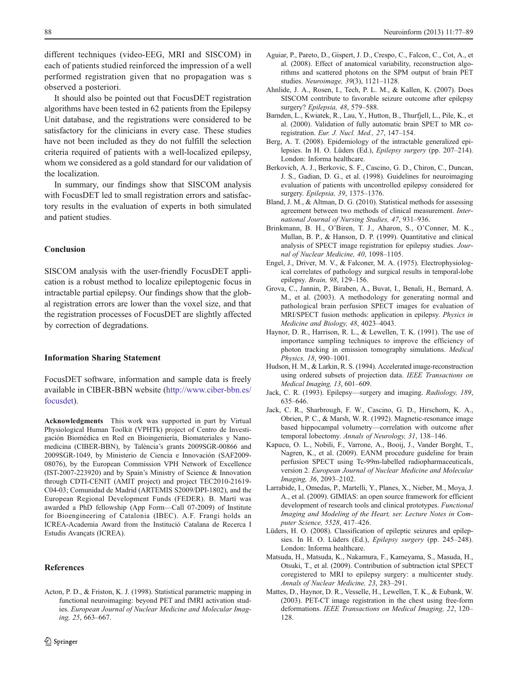<span id="page-11-0"></span>different techniques (video-EEG, MRI and SISCOM) in each of patients studied reinforced the impression of a well performed registration given that no propagation was s observed a posteriori.

It should also be pointed out that FocusDET registration algorithms have been tested in 62 patients from the Epilepsy Unit database, and the registrations were considered to be satisfactory for the clinicians in every case. These studies have not been included as they do not fulfill the selection criteria required of patients with a well-localized epilepsy, whom we considered as a gold standard for our validation of the localization.

In summary, our findings show that SISCOM analysis with FocusDET led to small registration errors and satisfactory results in the evaluation of experts in both simulated and patient studies.

## Conclusion

SISCOM analysis with the user-friendly FocusDET application is a robust method to localize epileptogenic focus in intractable partial epilepsy. Our findings show that the global registration errors are lower than the voxel size, and that the registration processes of FocusDET are slightly affected by correction of degradations.

#### Information Sharing Statement

FocusDET software, information and sample data is freely available in CIBER-BBN website [\(http://www.ciber-bbn.es/](http://www.ciber-bbn.es/focusdet) [focusdet\)](http://www.ciber-bbn.es/focusdet).

Acknowledgments This work was supported in part by Virtual Physiological Human Toolkit (VPHTk) project of Centro de Investigación Biomédica en Red en Bioingeniería, Biomateriales y Nanomedicina (CIBER-BBN), by Talència's grants 2009SGR-00866 and 2009SGR-1049, by Ministerio de Ciencia e Innovación (SAF2009- 08076), by the European Commission VPH Network of Excellence (IST-2007-223920) and by Spain's Ministry of Science & Innovation through CDTI-CENIT (AMIT project) and project TEC2010-21619- C04-03; Comunidad de Madrid (ARTEMIS S2009/DPI-1802), and the European Regional Development Funds (FEDER). B. Martí was awarded a PhD fellowship (App Form—Call 07-2009) of Institute for Bioengineering of Catalonia (IBEC). A.F. Frangi holds an ICREA-Academia Award from the Institució Catalana de Recerca I Estudis Avançats (ICREA).

# References

Acton, P. D., & Friston, K. J. (1998). Statistical parametric mapping in functional neuroimaging: beyond PET and fMRI activation studies. European Journal of Nuclear Medicine and Molecular Imaging, 25, 663–667.

- Aguiar, P., Pareto, D., Gispert, J. D., Crespo, C., Falcon, C., Cot, A., et al. (2008). Effect of anatomical variability, reconstruction algorithms and scattered photons on the SPM output of brain PET studies. Neuroimage, 39(3), 1121–1128.
- Ahnlide, J. A., Rosen, I., Tech, P. L. M., & Kallen, K. (2007). Does SISCOM contribute to favorable seizure outcome after epilepsy surgery? Epilepsia, 48, 579–588.
- Barnden, L., Kwiatek, R., Lau, Y., Hutton, B., Thurfjell, L., Pile, K., et al. (2000). Validation of fully automatic brain SPET to MR coregistration. Eur. J. Nucl. Med., 27, 147–154.
- Berg, A. T. (2008). Epidemiology of the intractable generalized epilepsies. In H. O. Lüders (Ed.), Epilepsy surgery (pp. 207–214). London: Informa healthcare.
- Berkovich, A. J., Berkovic, S. F., Cascino, G. D., Chiron, C., Duncan, J. S., Gadian, D. G., et al. (1998). Guidelines for neuroimaging evaluation of patients with uncontrolled epilepsy considered for surgery. Epilepsia, 39, 1375–1376.
- Bland, J. M., & Altman, D. G. (2010). Statistical methods for assessing agreement between two methods of clinical measurement. International Journal of Nursing Studies, 47, 931–936.
- Brinkmann, B. H., O'Biren, T. J., Aharon, S., O'Conner, M. K., Mullan, B. P., & Hanson, D. P. (1999). Quantitative and clinical analysis of SPECT image registration for epilepsy studies. Journal of Nuclear Medicine, 40, 1098–1105.
- Engel, J., Driver, M. V., & Falconer, M. A. (1975). Electrophysiological correlates of pathology and surgical results in temporal-lobe epilepsy. Brain, 98, 129–156.
- Grova, C., Jannin, P., Biraben, A., Buvat, I., Benali, H., Bernard, A. M., et al. (2003). A methodology for generating normal and pathological brain perfusion SPECT images for evaluation of MRI/SPECT fusion methods: application in epilepsy. Physics in Medicine and Biology, 48, 4023–4043.
- Haynor, D. R., Harrison, R. L., & Lewellen, T. K. (1991). The use of importance sampling techniques to improve the efficiency of photon tracking in emission tomography simulations. Medical Physics, 18, 990–1001.
- Hudson, H. M., & Larkin, R. S. (1994). Accelerated image-reconstruction using ordered subsets of projection data. IEEE Transactions on Medical Imaging, 13, 601–609.
- Jack, C. R. (1993). Epilepsy—surgery and imaging. Radiology, 189, 635–646.
- Jack, C. R., Sharbrough, F. W., Cascino, G. D., Hirschorn, K. A., Obrien, P. C., & Marsh, W. R. (1992). Magnetic-resonance image based hippocampal volumetry—correlation with outcome after temporal lobectomy. Annals of Neurology, 31, 138–146.
- Kapucu, O. L., Nobili, F., Varrone, A., Booij, J., Vander Borght, T., Nagren, K., et al. (2009). EANM procedure guideline for brain perfusion SPECT using Tc-99m-labelled radiopharmaceuticals, version 2. European Journal of Nuclear Medicine and Molecular Imaging, 36, 2093–2102.
- Larrabide, I., Omedas, P., Martelli, Y., Planes, X., Nieber, M., Moya, J. A., et al. (2009). GIMIAS: an open source framework for efficient development of research tools and clinical prototypes. Functional Imaging and Modeling of the Heart, ser. Lecture Notes in Computer Science, 5528, 417–426.
- Lüders, H. O. (2008). Classification of epileptic seizures and epilepsies. In H. O. Lüders (Ed.), Epilepsy surgery (pp. 245–248). London: Informa healthcare.
- Matsuda, H., Matsuda, K., Nakamura, F., Kameyama, S., Masuda, H., Otsuki, T., et al. (2009). Contribution of subtraction ictal SPECT coregistered to MRI to epilepsy surgery: a multicenter study. Annals of Nuclear Medicine, 23, 283–291.
- Mattes, D., Haynor, D. R., Vesselle, H., Lewellen, T. K., & Eubank, W. (2003). PET-CT image registration in the chest using free-form deformations. IEEE Transactions on Medical Imaging, 22, 120– 128.